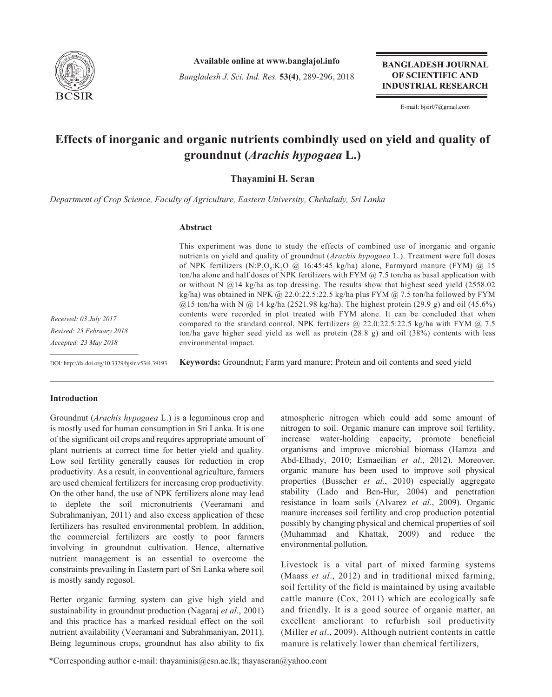

**Available online at www.banglajol.info**

*Bangladesh J. Sci. Ind. Res.* **53(4)**, 289-296, 2018

**BANGLADESH JOURNAL** OF SCIENTIFIC AND **INDUSTRIAL RESEARCH** 

E-mail: bjsir07@gmail.com

# **Effects of inorganic and organic nutrients combindly used on yield and quality of groundnut (***Arachis hypogaea* **L.)**

## **Thayamini H. Seran**

*Department of Crop Science, Faculty of Agriculture, Eastern University, Chekalady, Sri Lanka*

## **Abstract**

This experiment was done to study the effects of combined use of inorganic and organic nutrients on yield and quality of groundnut (*Arachis hypogaea* L.). Treatment were full doses of NPK fertilizers  $(N \cdot P_2O_5 \cdot K_2O \varnothing 16:45:45 \text{ kg/ha}$  alone, Farmyard manure (FYM)  $\varnothing$  15 ton/ha alone and half doses of NPK fertilizers with FYM  $\omega$  7.5 ton/ha as basal application with or without N  $@14$  kg/ha as top dressing. The results show that highest seed yield (2558.02) kg/ha) was obtained in NPK @ 22.0:22.5:22.5 kg/ha plus FYM @ 7.5 ton/ha followed by FYM  $(a)$ 15 ton/ha with N  $(a)$  14 kg/ha (2521.98 kg/ha). The highest protein (29.9 g) and oil (45.6%) contents were recorded in plot treated with FYM alone. It can be concluded that when compared to the standard control, NPK fertilizers  $@$  22.0:22.5:22.5 kg/ha with FYM  $@$  7.5 ton/ha gave higher seed yield as well as protein (28.8 g) and oil (38%) contents with less environmental impact.

*Received: 03 July 2017 Revised: 25 February 2018 Accepted: 23 May 2018*

DOI: http://dx.doi.org/10.3329/bjsir.v53i4.39193

**Keywords:** Groundnut; Farm yard manure; Protein and oil contents and seed yield

## **Introduction**

Groundnut (*Arachis hypogaea* L.) is a leguminous crop and is mostly used for human consumption in Sri Lanka. It is one of the significant oil crops and requires appropriate amount of plant nutrients at correct time for better yield and quality. Low soil fertility generally causes for reduction in crop productivity. As a result, in conventional agriculture, farmers are used chemical fertilizers for increasing crop productivity. On the other hand, the use of NPK fertilizers alone may lead to deplete the soil micronutrients (Veeramani and Subrahmaniyan, 2011) and also excess application of these fertilizers has resulted environmental problem. In addition, the commercial fertilizers are costly to poor farmers involving in groundnut cultivation. Hence, alternative nutrient management is an essential to overcome the constraints prevailing in Eastern part of Sri Lanka where soil is mostly sandy regosol.

Better organic farming system can give high yield and sustainability in groundnut production (Nagaraj *et al*., 2001) and this practice has a marked residual effect on the soil nutrient availability (Veeramani and Subrahmaniyan, 2011). Being leguminous crops, groundnut has also ability to fix atmospheric nitrogen which could add some amount of nitrogen to soil. Organic manure can improve soil fertility, increase water-holding capacity, promote beneficial organisms and improve microbial biomass (Hamza and Abd-Elhady, 2010; Esmaeilian *et al*., 2012). Moreover, organic manure has been used to improve soil physical properties (Busscher *et al*., 2010) especially aggregate stability (Lado and Ben-Hur, 2004) and penetration resistance in loam soils (Alvarez *et al*., 2009). Organic manure increases soil fertility and crop production potential possibly by changing physical and chemical properties of soil (Muhammad and Khattak, 2009) and reduce the environmental pollution.

Livestock is a vital part of mixed farming systems (Maass *et al*., 2012) and in traditional mixed farming, soil fertility of the field is maintained by using available cattle manure (Cox, 2011) which are ecologically safe and friendly. It is a good source of organic matter, an excellent ameliorant to refurbish soil productivity (Miller *et al*., 2009). Although nutrient contents in cattle manure is relatively lower than chemical fertilizers,

\*Corresponding author e-mail: thayaminis@esn.ac.lk; thayaseran@yahoo.com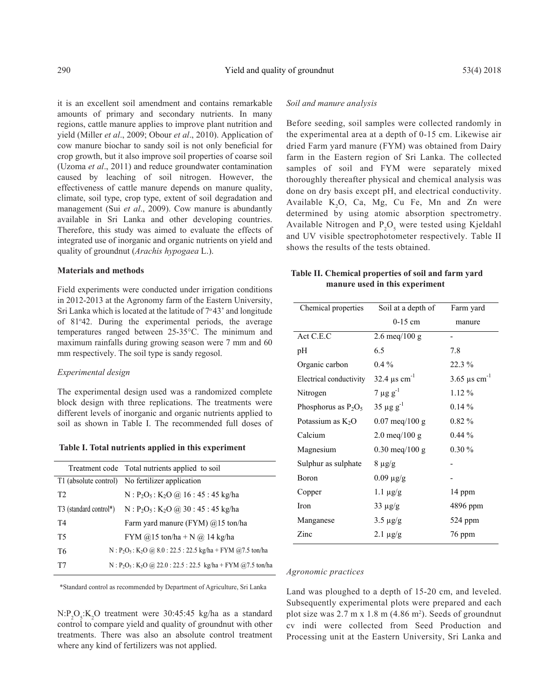it is an excellent soil amendment and contains remarkable amounts of primary and secondary nutrients. In many regions, cattle manure applies to improve plant nutrition and yield (Miller *et al*., 2009; Obour *et al*., 2010). Application of cow manure biochar to sandy soil is not only beneficial for crop growth, but it also improve soil properties of coarse soil (Uzoma *et al*., 2011) and reduce groundwater contamination caused by leaching of soil nitrogen. However, the effectiveness of cattle manure depends on manure quality, climate, soil type, crop type, extent of soil degradation and management (Sui *et al*., 2009). Cow manure is abundantly available in Sri Lanka and other developing countries. Therefore, this study was aimed to evaluate the effects of integrated use of inorganic and organic nutrients on yield and quality of groundnut (*Arachis hypogaea* L.).

#### **Materials and methods**

Field experiments were conducted under irrigation conditions in 2012-2013 at the Agronomy farm of the Eastern University, Sri Lanka which is located at the latitude of  $7°43'$  and longitude of 81°42. During the experimental periods, the average temperatures ranged between 25-35°C. The minimum and maximum rainfalls during growing season were 7 mm and 60 mm respectively. The soil type is sandy regosol.

#### *Experimental design*

The experimental design used was a randomized complete block design with three replications. The treatments were different levels of inorganic and organic nutrients applied to soil as shown in Table I. The recommended full doses of

| Table I. Total nutrients applied in this experiment |  |  |  |  |  |  |  |
|-----------------------------------------------------|--|--|--|--|--|--|--|
|-----------------------------------------------------|--|--|--|--|--|--|--|

|                | Treatment code Total nutrients applied to soil                            |
|----------------|---------------------------------------------------------------------------|
|                | T1 (absolute control) No fertilizer application                           |
| T <sub>2</sub> | $N : P2O5 : K2O$ (a) 16 : 45 : 45 kg/ha                                   |
|                | T3 (standard control*) $N : P_2O_5 : K_2O \ (a) 30 : 45 : 45 \ kg/ha$     |
| T4             | Farm yard manure (FYM) @15 ton/ha                                         |
| T5             | FYM $@15$ ton/ha + N $@14$ kg/ha                                          |
| T6             | N: $P_2O_5$ : K <sub>2</sub> O @ 8.0: 22.5: 22.5 kg/ha + FYM @7.5 ton/ha  |
| T7             | N: $P_2O_5$ : K <sub>2</sub> O @ 22.0: 22.5: 22.5 kg/ha + FYM @7.5 ton/ha |

\*Standard control as recommended by Department of Agriculture, Sri Lanka

 $N$ : $P_2O_5$ : $K_2O$  treatment were 30:45:45 kg/ha as a standard control to compare yield and quality of groundnut with other treatments. There was also an absolute control treatment where any kind of fertilizers was not applied.

## *Soil and manure analysis*

Before seeding, soil samples were collected randomly in the experimental area at a depth of 0-15 cm. Likewise air dried Farm yard manure (FYM) was obtained from Dairy farm in the Eastern region of Sri Lanka. The collected samples of soil and FYM were separately mixed thoroughly thereafter physical and chemical analysis was done on dry basis except pH, and electrical conductivity. Available  $K_2O$ , Ca, Mg, Cu Fe, Mn and Zn were determined by using atomic absorption spectrometry. Available Nitrogen and  $P_2O_5$  were tested using Kjeldahl and UV visible spectrophotometer respectively. Table II shows the results of the tests obtained.

## **Table II. Chemical properties of soil and farm yard manure used in this experiment**

| Chemical properties     | Soil at a depth of               | Farm yard                     |
|-------------------------|----------------------------------|-------------------------------|
|                         | $0-15$ cm                        | manure                        |
| Act C.E.C               | $2.6 \text{ meq}/100 \text{ g}$  |                               |
| pН                      | 6.5                              | 7.8                           |
| Organic carbon          | $0.4\%$                          | 22.3 %                        |
| Electrical conductivity | 32.4 $\mu$ s cm <sup>-1</sup>    | 3.65 $\mu$ s cm <sup>-1</sup> |
| Nitrogen                | $7 \mu g g^{-1}$                 | $1.12\%$                      |
| Phosphorus as $P_2O_5$  | $35 \mu g g^{-1}$                | $0.14\%$                      |
| Potassium as $K_2O$     | $0.07 \text{ meq}/100 \text{ g}$ | $0.82\%$                      |
| Calcium                 | $2.0 \text{ meq}/100 \text{ g}$  | $0.44\%$                      |
| Magnesium               | $0.30$ meq/100 g                 | $0.30\%$                      |
| Sulphur as sulphate     | $8 \mu g/g$                      |                               |
| Boron                   | $0.09 \mu g/g$                   |                               |
| Copper                  | $1.1 \mu g/g$                    | 14 ppm                        |
| Iron                    | $33 \mu g/g$                     | 4896 ppm                      |
| Manganese               | $3.5 \mu g/g$                    | 524 ppm                       |
| Zinc                    | $2.1 \mu g/g$                    | 76 ppm                        |

## *Agronomic practices*

Land was ploughed to a depth of 15-20 cm, and leveled. Subsequently experimental plots were prepared and each plot size was  $2.7 \text{ m} \times 1.8 \text{ m}$  (4.86 m<sup>2</sup>). Seeds of groundnut cv indi were collected from Seed Production and Processing unit at the Eastern University, Sri Lanka and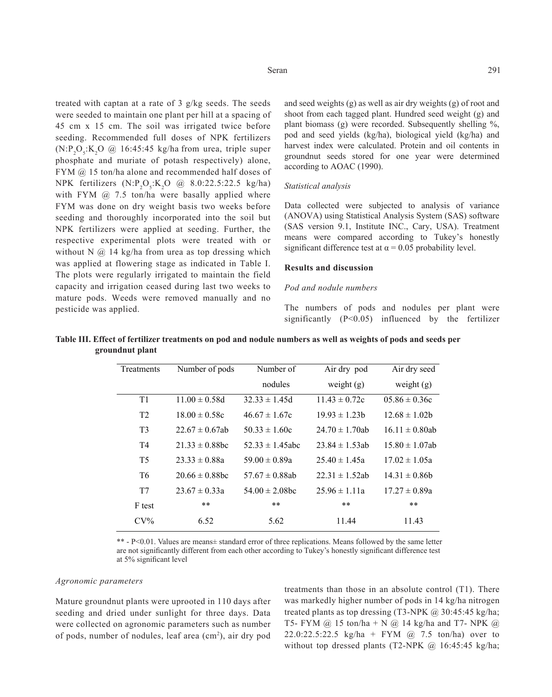treated with captan at a rate of 3 g/kg seeds. The seeds were seeded to maintain one plant per hill at a spacing of 45 cm x 15 cm. The soil was irrigated twice before seeding. Recommended full doses of NPK fertilizers  $(N:P_2O_3:K_2O \tQ \tQ 16:45:45 \tkg/ha from urea, triple super$ phosphate and muriate of potash respectively) alone, FYM @ 15 ton/ha alone and recommended half doses of NPK fertilizers  $(N:P_2O_5:K_2O \text{ @ } 8.0:22.5:22.5 \text{ kg/ha})$ with FYM  $\omega$  7.5 ton/ha were basally applied where FYM was done on dry weight basis two weeks before seeding and thoroughly incorporated into the soil but NPK fertilizers were applied at seeding. Further, the respective experimental plots were treated with or without N  $@$  14 kg/ha from urea as top dressing which was applied at flowering stage as indicated in Table I. The plots were regularly irrigated to maintain the field capacity and irrigation ceased during last two weeks to mature pods. Weeds were removed manually and no pesticide was applied.

and seed weights (g) as well as air dry weights (g) of root and shoot from each tagged plant. Hundred seed weight (g) and plant biomass (g) were recorded. Subsequently shelling %, pod and seed yields (kg/ha), biological yield (kg/ha) and harvest index were calculated. Protein and oil contents in groundnut seeds stored for one year were determined according to AOAC (1990).

#### *Statistical analysis*

Data collected were subjected to analysis of variance (ANOVA) using Statistical Analysis System (SAS) software (SAS version 9.1, Institute INC., Cary, USA). Treatment means were compared according to Tukey's honestly significant difference test at  $\alpha$  = 0.05 probability level.

#### **Results and discussion**

#### *Pod and nodule numbers*

The numbers of pods and nodules per plant were significantly (P<0.05) influenced by the fertilizer

| Treatments     | Number of pods      | Number of            | Air dry pod         | Air dry seed        |
|----------------|---------------------|----------------------|---------------------|---------------------|
|                |                     | nodules              | weight $(g)$        | weight $(g)$        |
| T1             | $11.00 \pm 0.58d$   | $32.33 \pm 1.45d$    | $11.43 \pm 0.72c$   | $05.86 \pm 0.36c$   |
| T <sub>2</sub> | $18.00 \pm 0.58c$   | $46.67 \pm 1.67c$    | $19.93 \pm 1.23$    | $12.68 \pm 1.02$    |
| T <sub>3</sub> | $22.67 \pm 0.67$ ab | $50.33 \pm 1.60c$    | $24.70 \pm 1.70$ ab | $16.11 \pm 0.80$ ab |
| T <sub>4</sub> | $21.33 \pm 0.88$ bc | $52.33 \pm 1.45$ abc | $23.84 \pm 1.53$ ab | $15.80 \pm 1.07$ ab |
| T <sub>5</sub> | $23.33 \pm 0.88a$   | $59.00 \pm 0.89a$    | $25.40 \pm 1.45a$   | $17.02 \pm 1.05a$   |
| T <sub>6</sub> | $20.66 \pm 0.88$ bc | $57.67 \pm 0.88$ ab  | $22.31 \pm 1.52$ ab | $14.31 \pm 0.86$    |
| T7             | $23.67 \pm 0.33a$   | $54.00 \pm 2.08$ bc  | $25.96 \pm 1.11a$   | $17.27 \pm 0.89a$   |
| F test         | $***$               | $***$                | $***$               | $***$               |
| $CV\%$         | 6.52                | 5.62                 | 11.44               | 11.43               |

|                  | Table III. Effect of fertilizer treatments on pod and nodule numbers as well as weights of pods and seeds per |  |  |  |  |
|------------------|---------------------------------------------------------------------------------------------------------------|--|--|--|--|
| ground nut plant |                                                                                                               |  |  |  |  |

\*\* - P<0.01. Values are means± standard error of three replications. Means followed by the same letter are not significantly different from each other according to Tukey's honestly significant difference test at 5% significant level

#### *Agronomic parameters*

Mature groundnut plants were uprooted in 110 days after seeding and dried under sunlight for three days. Data were collected on agronomic parameters such as number of pods, number of nodules, leaf area (cm<sup>2</sup>), air dry pod

treatments than those in an absolute control (T1). There was markedly higher number of pods in 14 kg/ha nitrogen treated plants as top dressing  $(T3-NPK \text{ } @ 30:45:45 \text{ kg/ha};$ T5- FYM  $@$  15 ton/ha + N  $@$  14 kg/ha and T7- NPK  $@$ 22.0:22.5:22.5 kg/ha + FYM @ 7.5 ton/ha) over to without top dressed plants (T2-NPK  $\omega$  16:45:45 kg/ha;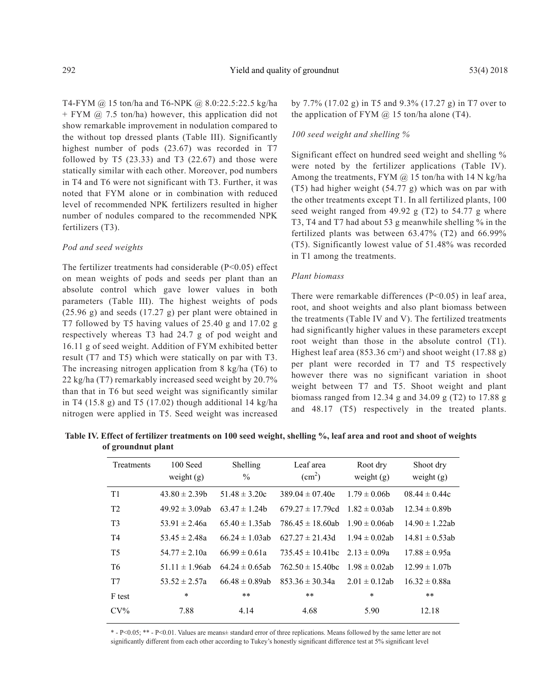T4-FYM @ 15 ton/ha and T6-NPK @ 8.0:22.5:22.5 kg/ha + FYM @ 7.5 ton/ha) however, this application did not show remarkable improvement in nodulation compared to the without top dressed plants (Table III). Significantly highest number of pods (23.67) was recorded in T7 followed by T5  $(23.33)$  and T3  $(22.67)$  and those were statically similar with each other. Moreover, pod numbers in T4 and T6 were not significant with T3. Further, it was noted that FYM alone or in combination with reduced level of recommended NPK fertilizers resulted in higher number of nodules compared to the recommended NPK fertilizers (T3).

## *Pod and seed weights*

The fertilizer treatments had considerable  $(P<0.05)$  effect on mean weights of pods and seeds per plant than an absolute control which gave lower values in both parameters (Table III). The highest weights of pods (25.96 g) and seeds (17.27 g) per plant were obtained in T7 followed by T5 having values of 25.40 g and 17.02 g respectively whereas T3 had 24.7 g of pod weight and 16.11 g of seed weight. Addition of FYM exhibited better result (T7 and T5) which were statically on par with T3. The increasing nitrogen application from 8 kg/ha (T6) to 22 kg/ha (T7) remarkably increased seed weight by 20.7% than that in T6 but seed weight was significantly similar in T4 (15.8 g) and T5 (17.02) though additional 14 kg/ha nitrogen were applied in T5. Seed weight was increased by 7.7% (17.02 g) in T5 and 9.3% (17.27 g) in T7 over to the application of FYM  $\omega$  15 ton/ha alone (T4).

#### *100 seed weight and shelling %*

Significant effect on hundred seed weight and shelling % were noted by the fertilizer applications (Table IV). Among the treatments, FYM  $\omega$  15 ton/ha with 14 N kg/ha (T5) had higher weight (54.77 g) which was on par with the other treatments except T1. In all fertilized plants, 100 seed weight ranged from 49.92 g (T2) to 54.77 g where T3, T4 and T7 had about 53 g meanwhile shelling % in the fertilized plants was between 63.47% (T2) and 66.99% (T5). Significantly lowest value of 51.48% was recorded in T1 among the treatments.

#### *Plant biomass*

There were remarkable differences (P<0.05) in leaf area, root, and shoot weights and also plant biomass between the treatments (Table IV and V). The fertilized treatments had significantly higher values in these parameters except root weight than those in the absolute control (T1). Highest leaf area  $(853.36 \text{ cm}^2)$  and shoot weight  $(17.88 \text{ g})$ per plant were recorded in T7 and T5 respectively however there was no significant variation in shoot weight between T7 and T5. Shoot weight and plant biomass ranged from 12.34 g and 34.09 g (T2) to 17.88 g and 48.17 (T5) respectively in the treated plants.

**Table IV. Effect of fertilizer treatments on 100 seed weight, shelling %, leaf area and root and shoot of weights of groundnut plant**

| Treatments     | 100 Seed<br>weight $(g)$ | Shelling<br>$\frac{0}{0}$ | Leaf area<br>(cm <sup>2</sup> ) | Root dry<br>weight $(g)$ | Shoot dry<br>weight $(g)$ |
|----------------|--------------------------|---------------------------|---------------------------------|--------------------------|---------------------------|
| T1             | $43.80 \pm 2.39$         | $51.48 \pm 3.20c$         | $389.04 \pm 07.40e$             | $1.79 \pm 0.06$ b        | $08.44 \pm 0.44c$         |
| T <sub>2</sub> | $49.92 \pm 3.09$ ab      | $63.47 \pm 1.24$ h        | 679 $27 \pm 17$ 79cd            | $1.82 \pm 0.03$ ab       | $12.34 \pm 0.89$          |
| T <sub>3</sub> | $53.91 \pm 2.46a$        | $65.40 \pm 1.35$ ab       | $786.45 \pm 18.60$ ab           | $1.90 \pm 0.06$ ab       | $14.90 \pm 1.22$ ab       |
| T <sub>4</sub> | $53.45 \pm 2.48a$        | $66.24 \pm 1.03$ ab       | $627.27 \pm 21.43d$             | $1.94 \pm 0.02$ ab       | $14.81 \pm 0.53$ ab       |
| T <sub>5</sub> | $54.77 \pm 2.10a$        | 66 99 $\pm$ 0 61a         | $735.45 \pm 10.41$ hc           | $2.13 \pm 0.09a$         | $17.88 \pm 0.95a$         |
| T <sub>6</sub> | $51.11 \pm 1.96$ ab      | 64 24 $\pm$ 0.65ab        | $762.50 \pm 15.40$ bc           | $1.98 \pm 0.02$ ab       | $12.99 \pm 1.07$          |
| T <sub>7</sub> | $53.52 \pm 2.57a$        | $66.48 \pm 0.89$ ab       | $853.36 \pm 30.34a$             | $2.01 \pm 0.12$ ab       | $16.32 \pm 0.88a$         |
| F test         | $\ast$                   | $***$                     | $***$                           | *                        | $***$                     |
| $CV\%$         | 7.88                     | 4.14                      | 4.68                            | 5.90                     | 12.18                     |

\* - P<0.05; \*\* - P<0.01. Values are means± standard error of three replications. Means followed by the same letter are not significantly different from each other according to Tukey's honestly significant difference test at 5% significant level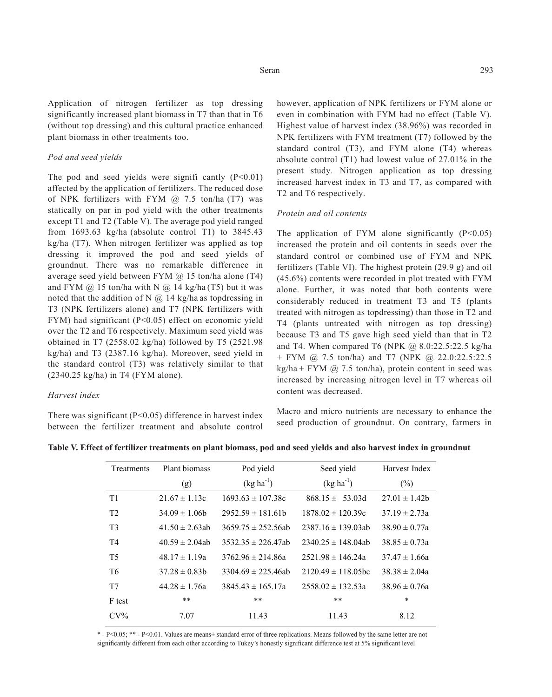Application of nitrogen fertilizer as top dressing significantly increased plant biomass in T7 than that in T6 (without top dressing) and this cultural practice enhanced plant biomass in other treatments too.

## *Pod and seed yields*

The pod and seed yields were significantly  $(P<0.01)$ affected by the application of fertilizers. The reduced dose of NPK fertilizers with FYM  $@$  7.5 ton/ha (T7) was statically on par in pod yield with the other treatments except T1 and T2 (Table V). The average pod yield ranged from 1693.63 kg/ha (absolute control T1) to 3845.43 kg/ha (T7). When nitrogen fertilizer was applied as top dressing it improved the pod and seed yields of groundnut. There was no remarkable difference in average seed yield between FYM @ 15 ton/ha alone (T4) and FYM  $(a)$  15 ton/ha with N  $(a)$  14 kg/ha (T5) but it was noted that the addition of N  $\omega$  14 kg/ha as topdressing in T3 (NPK fertilizers alone) and T7 (NPK fertilizers with FYM) had significant (P<0.05) effect on economic yield over the T2 and T6 respectively. Maximum seed yield was obtained in T7 (2558.02 kg/ha) followed by T5 (2521.98 kg/ha) and T3 (2387.16 kg/ha). Moreover, seed yield in the standard control (T3) was relatively similar to that (2340.25 kg/ha) in T4 (FYM alone).

#### *Harvest index*

There was significant ( $P<0.05$ ) difference in harvest index between the fertilizer treatment and absolute control however, application of NPK fertilizers or FYM alone or even in combination with FYM had no effect (Table V). Highest value of harvest index (38.96%) was recorded in NPK fertilizers with FYM treatment (T7) followed by the standard control (T3), and FYM alone (T4) whereas absolute control (T1) had lowest value of 27.01% in the present study. Nitrogen application as top dressing increased harvest index in T3 and T7, as compared with T2 and T6 respectively.

## *Protein and oil contents*

The application of FYM alone significantly  $(P<0.05)$ increased the protein and oil contents in seeds over the standard control or combined use of FYM and NPK fertilizers (Table VI). The highest protein (29.9 g) and oil (45.6%) contents were recorded in plot treated with FYM alone. Further, it was noted that both contents were considerably reduced in treatment T3 and T5 (plants treated with nitrogen as topdressing) than those in T2 and T4 (plants untreated with nitrogen as top dressing) because T3 and T5 gave high seed yield than that in T2 and T4. When compared T6 (NPK  $\omega$  8.0:22.5:22.5 kg/ha + FYM @ 7.5 ton/ha) and T7 (NPK @ 22.0:22.5:22.5  $kg/ha + FYM$  @ 7.5 ton/ha), protein content in seed was increased by increasing nitrogen level in T7 whereas oil content was decreased.

Macro and micro nutrients are necessary to enhance the seed production of groundnut. On contrary, farmers in

| Treatments     | Plant biomass       | Pod yield               | Seed yield              | Harvest Index     |  |
|----------------|---------------------|-------------------------|-------------------------|-------------------|--|
|                | (g)                 | $(kg ha^{-1})$          | $(kg ha^{-1})$          | $(\%)$            |  |
| T1             | $21.67 \pm 1.13c$   | $1693.63 \pm 107.38c$   | $868.15 \pm 53.03d$     | $27.01 \pm 1.42$  |  |
| T <sub>2</sub> | $34.09 \pm 1.06$    | $2952.59 \pm 181.61b$   | $1878.02 \pm 120.39c$   | $37.19 \pm 2.73a$ |  |
| T <sub>3</sub> | $41.50 \pm 2.63$ ab | $3659.75 \pm 252.56ab$  | $2387.16 \pm 139.03ab$  | $38.90 \pm 0.77a$ |  |
| T <sub>4</sub> | $40.59 \pm 2.04$ ab | $3532.35 \pm 226.47$ ab | $2340.25 \pm 148.04$ ab | $38.85 \pm 0.73a$ |  |
| T <sub>5</sub> | $48.17 \pm 1.19a$   | $3762.96 \pm 214.86a$   | $2521.98 \pm 146.24a$   | $37.47 \pm 1.66a$ |  |
| T <sub>6</sub> | $37.28 \pm 0.83$ h  | $3304.69 \pm 225.46ab$  | $2120.49 \pm 118.05$ bc | $38.38 \pm 2.04a$ |  |
| T7             | $44.28 \pm 1.76a$   | $3845.43 \pm 165.17a$   | $2558.02 \pm 132.53a$   | $38.96 \pm 0.76a$ |  |
| F test         | $***$               | $***$                   | $***$                   | *                 |  |
| $CV\%$         | 7.07                | 11.43                   | 11.43                   | 8.12              |  |

**Table V. Effect of fertilizer treatments on plant biomass, pod and seed yields and also harvest index in groundnut**

\* - P<0.05; \*\* - P<0.01. Values are means± standard error of three replications. Means followed by the same letter are not significantly different from each other according to Tukey's honestly significant difference test at 5% significant level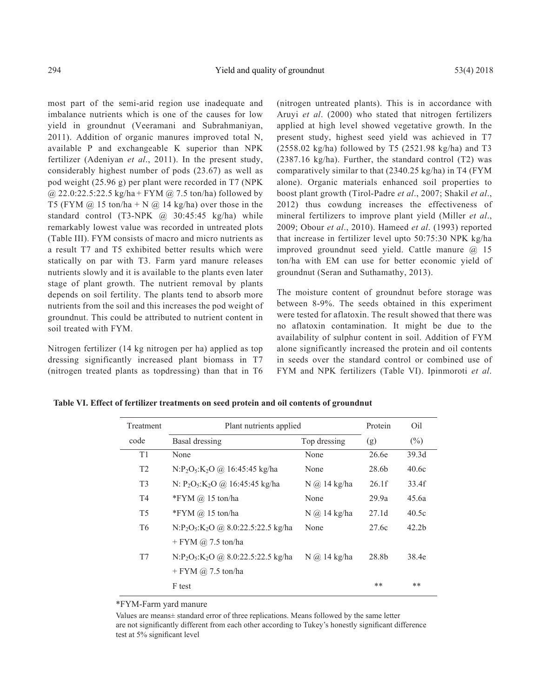most part of the semi-arid region use inadequate and imbalance nutrients which is one of the causes for low yield in groundnut (Veeramani and Subrahmaniyan, 2011). Addition of organic manures improved total N, available P and exchangeable K superior than NPK fertilizer (Adeniyan *et al*., 2011). In the present study, considerably highest number of pods (23.67) as well as pod weight (25.96 g) per plant were recorded in T7 (NPK  $(a)$  22.0:22.5:22.5 kg/ha + FYM  $(a)$  7.5 ton/ha) followed by T5 (FYM  $\omega$  15 ton/ha + N  $\omega$  14 kg/ha) over those in the standard control  $(T3-NPK \quad \textcircled{a} \quad 30:45:45 \quad \text{kg/ha})$  while remarkably lowest value was recorded in untreated plots (Table III). FYM consists of macro and micro nutrients as a result T7 and T5 exhibited better results which were statically on par with T3. Farm yard manure releases nutrients slowly and it is available to the plants even later stage of plant growth. The nutrient removal by plants depends on soil fertility. The plants tend to absorb more nutrients from the soil and this increases the pod weight of groundnut. This could be attributed to nutrient content in soil treated with FYM.

Nitrogen fertilizer (14 kg nitrogen per ha) applied as top dressing significantly increased plant biomass in T7 (nitrogen treated plants as topdressing) than that in T6 (nitrogen untreated plants). This is in accordance with Aruyi *et al*. (2000) who stated that nitrogen fertilizers applied at high level showed vegetative growth. In the present study, highest seed yield was achieved in T7 (2558.02 kg/ha) followed by T5 (2521.98 kg/ha) and T3 (2387.16 kg/ha). Further, the standard control (T2) was comparatively similar to that (2340.25 kg/ha) in T4 (FYM alone). Organic materials enhanced soil properties to boost plant growth (Tirol-Padre *et al*., 2007; Shakil *et al*., 2012) thus cowdung increases the effectiveness of mineral fertilizers to improve plant yield (Miller *et al*., 2009; Obour *et al*., 2010). Hameed *et al*. (1993) reported that increase in fertilizer level upto 50:75:30 NPK kg/ha improved groundnut seed yield. Cattle manure @ 15 ton/ha with EM can use for better economic yield of groundnut (Seran and Suthamathy, 2013).

The moisture content of groundnut before storage was between 8-9%. The seeds obtained in this experiment were tested for aflatoxin. The result showed that there was no aflatoxin contamination. It might be due to the availability of sulphur content in soil. Addition of FYM alone significantly increased the protein and oil contents in seeds over the standard control or combined use of FYM and NPK fertilizers (Table VI). Ipinmoroti *et al*.

| Treatment      | Plant nutrients applied                                                 |                       |                   | Oil               |
|----------------|-------------------------------------------------------------------------|-----------------------|-------------------|-------------------|
| code           | Basal dressing                                                          | Top dressing          | (g)               | $(\%)$            |
| T1             | None                                                                    | None                  | 26.6e             | 39.3d             |
| T2             | $N: P_2O_5: K_2O \ (a) 16:45:45 \ kg/ha$                                | None                  | 28.6b             | 40.6c             |
| T <sub>3</sub> | N: P <sub>2</sub> O <sub>5</sub> :K <sub>2</sub> O @ 16:45:45 kg/ha     | $N$ $\omega$ 14 kg/ha | 26.1f             | 33.4f             |
| <b>T4</b>      | *FYM $\omega$ 15 ton/ha                                                 | None                  | 29.9a             | 45.6a             |
| T <sub>5</sub> | *FYM $\omega$ 15 ton/ha                                                 | $N$ $\omega$ 14 kg/ha | 27.1 <sub>d</sub> | 40.5c             |
| T <sub>6</sub> | $N.P_2O_5:K_2O$ @ 8.0.22.5.22.5 kg/ha                                   | None                  | 27.6c             | 42.2 <sub>b</sub> |
|                | $+$ FYM $\omega$ 7.5 ton/ha                                             |                       |                   |                   |
| T7             | N:P <sub>2</sub> O <sub>5</sub> :K <sub>2</sub> O @ 8.0:22.5:22.5 kg/ha | $N$ $\omega$ 14 kg/ha | 28.8b             | 38.4e             |
|                | $+$ FYM $\omega$ 7.5 ton/ha                                             |                       |                   |                   |
|                | F test                                                                  |                       | $***$             | $**$              |

**Table VI. Effect of fertilizer treatments on seed protein and oil contents of groundnut**

\*FYM-Farm yard manure

Values are means± standard error of three replications. Means followed by the same letter are not significantly different from each other according to Tukey's honestly significant difference test at 5% significant level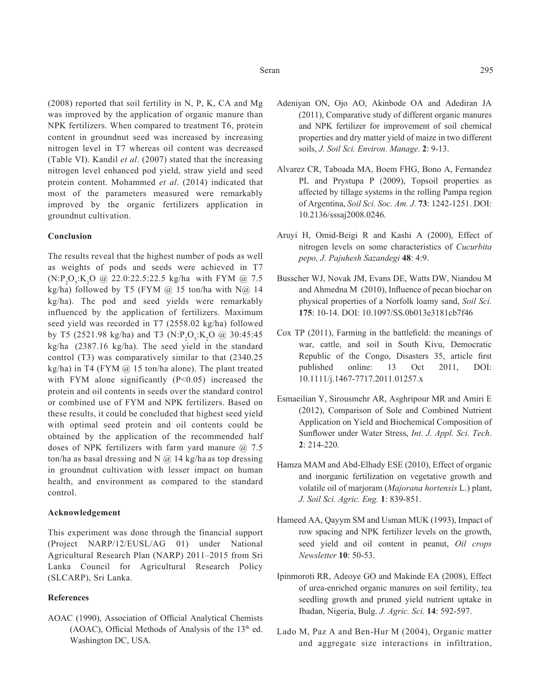(2008) reported that soil fertility in N, P, K, CA and Mg was improved by the application of organic manure than NPK fertilizers. When compared to treatment T6, protein content in groundnut seed was increased by increasing nitrogen level in T7 whereas oil content was decreased (Table VI). Kandil *et al*. (2007) stated that the increasing nitrogen level enhanced pod yield, straw yield and seed protein content. Mohammed *et al*. (2014) indicated that most of the parameters measured were remarkably improved by the organic fertilizers application in groundnut cultivation.

## **Conclusion**

The results reveal that the highest number of pods as well as weights of pods and seeds were achieved in T7  $(N:P_2O_5:K_2O \text{ @ } 22.0:22.5:22.5 \text{ kg/ha with FYM } @ 7.5$ kg/ha) followed by T5 (FYM  $@$  15 ton/ha with N $@$  14 kg/ha). The pod and seed yields were remarkably influenced by the application of fertilizers. Maximum seed yield was recorded in T7 (2558.02 kg/ha) followed by T5 (2521.98 kg/ha) and T3 (N:P<sub>2</sub>O<sub>5</sub>:K<sub>2</sub>O @ 30:45:45 kg/ha (2387.16 kg/ha). The seed yield in the standard control (T3) was comparatively similar to that (2340.25 kg/ha) in T4 (FYM  $\omega$  15 ton/ha alone). The plant treated with FYM alone significantly  $(P<0.05)$  increased the protein and oil contents in seeds over the standard control or combined use of FYM and NPK fertilizers. Based on these results, it could be concluded that highest seed yield with optimal seed protein and oil contents could be obtained by the application of the recommended half doses of NPK fertilizers with farm yard manure  $\omega$  7.5 ton/ha as basal dressing and N  $\omega$  14 kg/ha as top dressing in groundnut cultivation with lesser impact on human health, and environment as compared to the standard control.

## **Acknowledgement**

This experiment was done through the financial support (Project NARP/12/EUSL/AG 01) under National Agricultural Research Plan (NARP) 2011–2015 from Sri Lanka Council for Agricultural Research Policy (SLCARP), Sri Lanka.

## **References**

AOAC (1990), Association of Official Analytical Chemists (AOAC), Official Methods of Analysis of the  $13<sup>th</sup>$  ed. Washington DC, USA.

- Adeniyan ON, Ojo AO, Akinbode OA and Adediran JA (2011), Comparative study of different organic manures and NPK fertilizer for improvement of soil chemical properties and dry matter yield of maize in two different soils, *J. Soil Sci. Environ. Manage*. **2**: 9-13.
- Alvarez CR, Taboada MA, Boem FHG, Bono A, Fernandez PL and Prystupa P (2009), Topsoil properties as affected by tillage systems in the rolling Pampa region of Argentina, *Soil Sci. Soc. Am. J.* **73**: 1242-1251. DOI: 10.2136/sssaj2008.0246.
- Aruyi H, Omid-Beigi R and Kashi A (2000), Effect of nitrogen levels on some characteristics of *Cucurbita pepo, J. Pajuhesh Sazandegi* **48**: 4:9.
- Busscher WJ, Novak JM, Evans DE, Watts DW, Niandou M and Ahmedna M (2010), Influence of pecan biochar on physical properties of a Norfolk loamy sand, *Soil Sci.* **175**: 10-14. DOI: 10.1097/SS.0b013e3181cb7f46
- Cox TP (2011), Farming in the battlefield: the meanings of war, cattle, and soil in South Kivu, Democratic Republic of the Congo, Disasters 35, article first published online: 13 Oct 2011, DOI: 10.1111/j.1467-7717.2011.01257.x
- Esmaeilian Y, Sirousmehr AR, Asghripour MR and Amiri E (2012), Comparison of Sole and Combined Nutrient Application on Yield and Biochemical Composition of Sunflower under Water Stress, *Int. J. Appl. Sci. Tech*. **2**: 214-220.
- Hamza MAM and Abd-Elhady ESE (2010), Effect of organic and inorganic fertilization on vegetative growth and volatile oil of marjoram (*Majorana hortensis* L.) plant, *J. Soil Sci. Agric. Eng.* **1**: 839-851.
- Hameed AA, Qayym SM and Usman MUK (1993), Impact of row spacing and NPK fertilizer levels on the growth, seed yield and oil content in peanut, *Oil crops Newsletter* **10**: 50-53.
- Ipinmoroti RR, Adeoye GO and Makinde EA (2008), Effect of urea-enriched organic manures on soil fertility, tea seedling growth and pruned yield nutrient uptake in Ibadan, Nigeria, Bulg. *J. Agric. Sci.* **14**: 592-597.
- Lado M, Paz A and Ben-Hur M (2004), Organic matter and aggregate size interactions in infiltration,